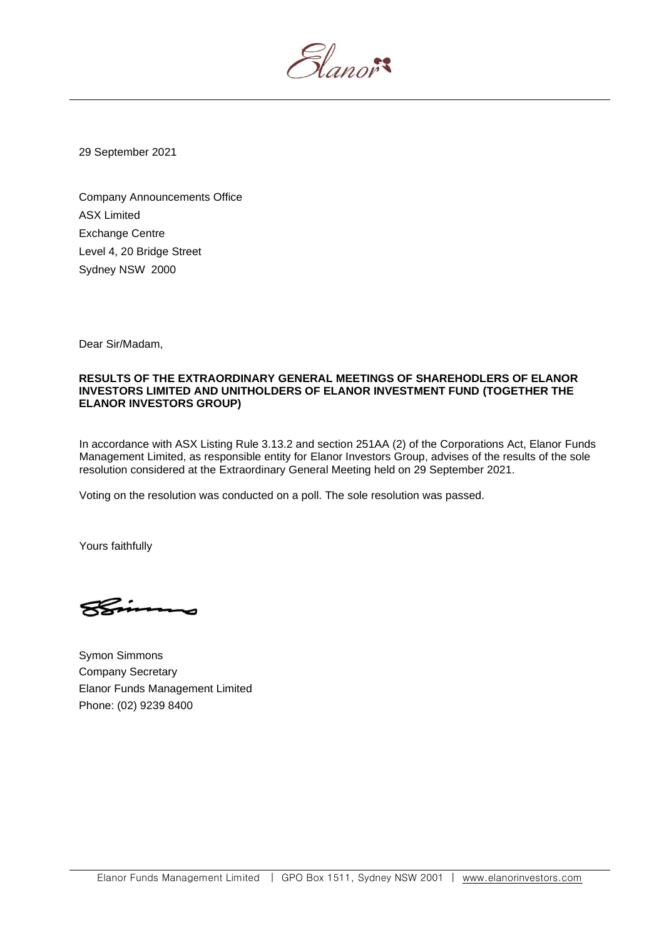5lanor

29 September 2021

Company Announcements Office ASX Limited Exchange Centre Level 4, 20 Bridge Street Sydney NSW 2000

Dear Sir/Madam,

## **RESULTS OF THE EXTRAORDINARY GENERAL MEETINGS OF SHAREHODLERS OF ELANOR INVESTORS LIMITED AND UNITHOLDERS OF ELANOR INVESTMENT FUND (TOGETHER THE ELANOR INVESTORS GROUP)**

In accordance with ASX Listing Rule 3.13.2 and section 251AA (2) of the Corporations Act, Elanor Funds Management Limited, as responsible entity for Elanor Investors Group, advises of the results of the sole resolution considered at the Extraordinary General Meeting held on 29 September 2021.

Voting on the resolution was conducted on a poll. The sole resolution was passed.

Yours faithfully

Symon Simmons Company Secretary Elanor Funds Management Limited Phone: (02) 9239 8400